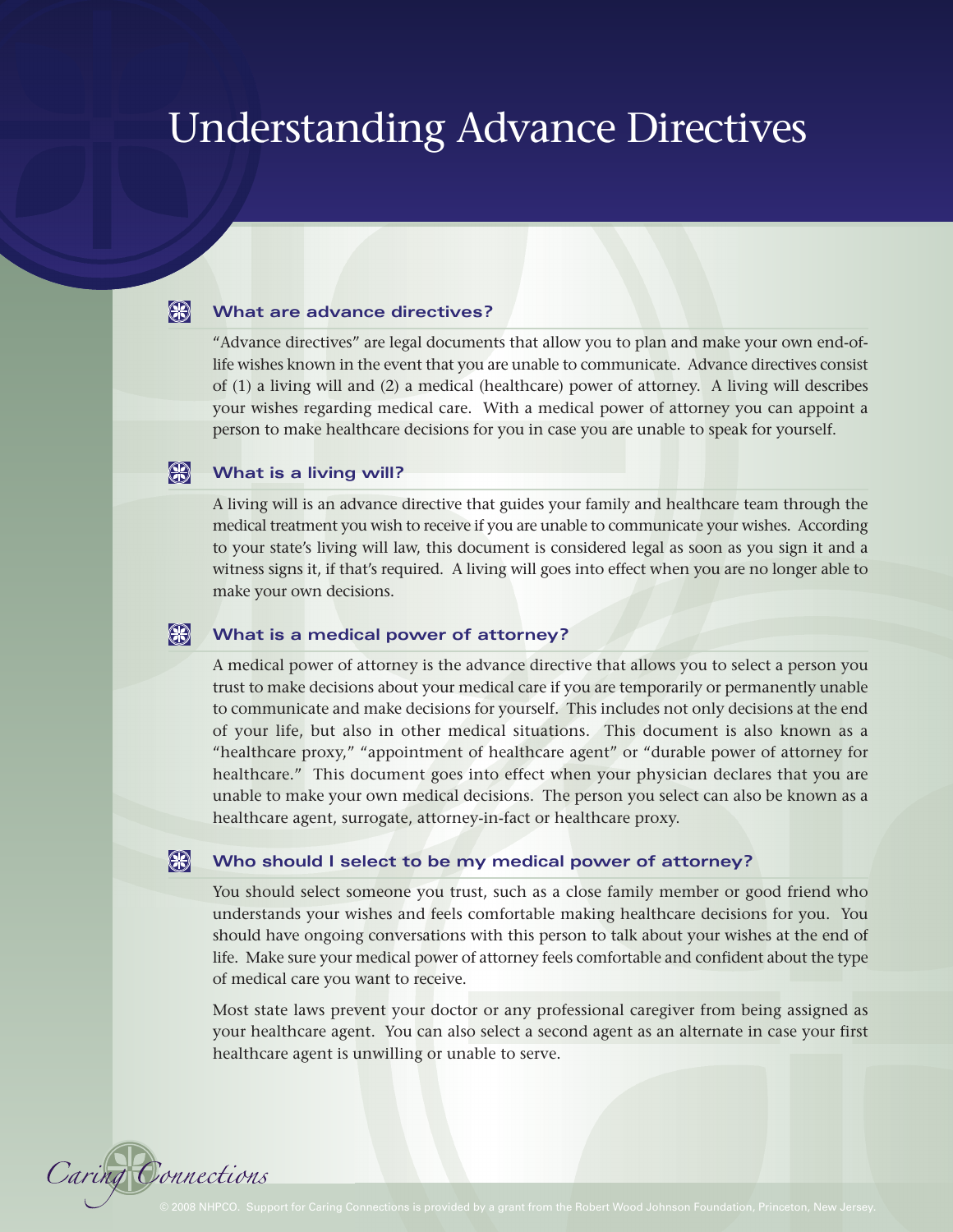# Understanding Advance Directives

#### $\bigcirc$ **What are advance directives?**

"Advance directives" are legal documents that allow you to plan and make your own end-oflife wishes known in the event that you are unable to communicate. Advance directives consist of (1) a living will and (2) a medical (healthcare) power of attorney. A living will describes your wishes regarding medical care. With a medical power of attorney you can appoint a person to make healthcare decisions for you in case you are unable to speak for yourself.

#### $\bigcirc$ **What is a living will?**

A living will is an advance directive that guides your family and healthcare team through the medical treatment you wish to receive if you are unable to communicate your wishes. According to your state's living will law, this document is considered legal as soon as you sign it and a witness signs it, if that's required. A living will goes into effect when you are no longer able to make your own decisions.

#### $\bigcirc$ **What is a medical power of attorney?**

A medical power of attorney is the advance directive that allows you to select a person you trust to make decisions about your medical care if you are temporarily or permanently unable to communicate and make decisions for yourself. This includes not only decisions at the end of your life, but also in other medical situations. This document is also known as a "healthcare proxy," "appointment of healthcare agent" or "durable power of attorney for healthcare." This document goes into effect when your physician declares that you are unable to make your own medical decisions. The person you select can also be known as a healthcare agent, surrogate, attorney-in-fact or healthcare proxy.

#### $\bigcirc$ **Who should I select to be my medical power of attorney?**

You should select someone you trust, such as a close family member or good friend who understands your wishes and feels comfortable making healthcare decisions for you. You should have ongoing conversations with this person to talk about your wishes at the end of life. Make sure your medical power of attorney feels comfortable and confident about the type of medical care you want to receive.

Most state laws prevent your doctor or any professional caregiver from being assigned as your healthcare agent. You can also select a second agent as an alternate in case your first healthcare agent is unwilling or unable to serve.

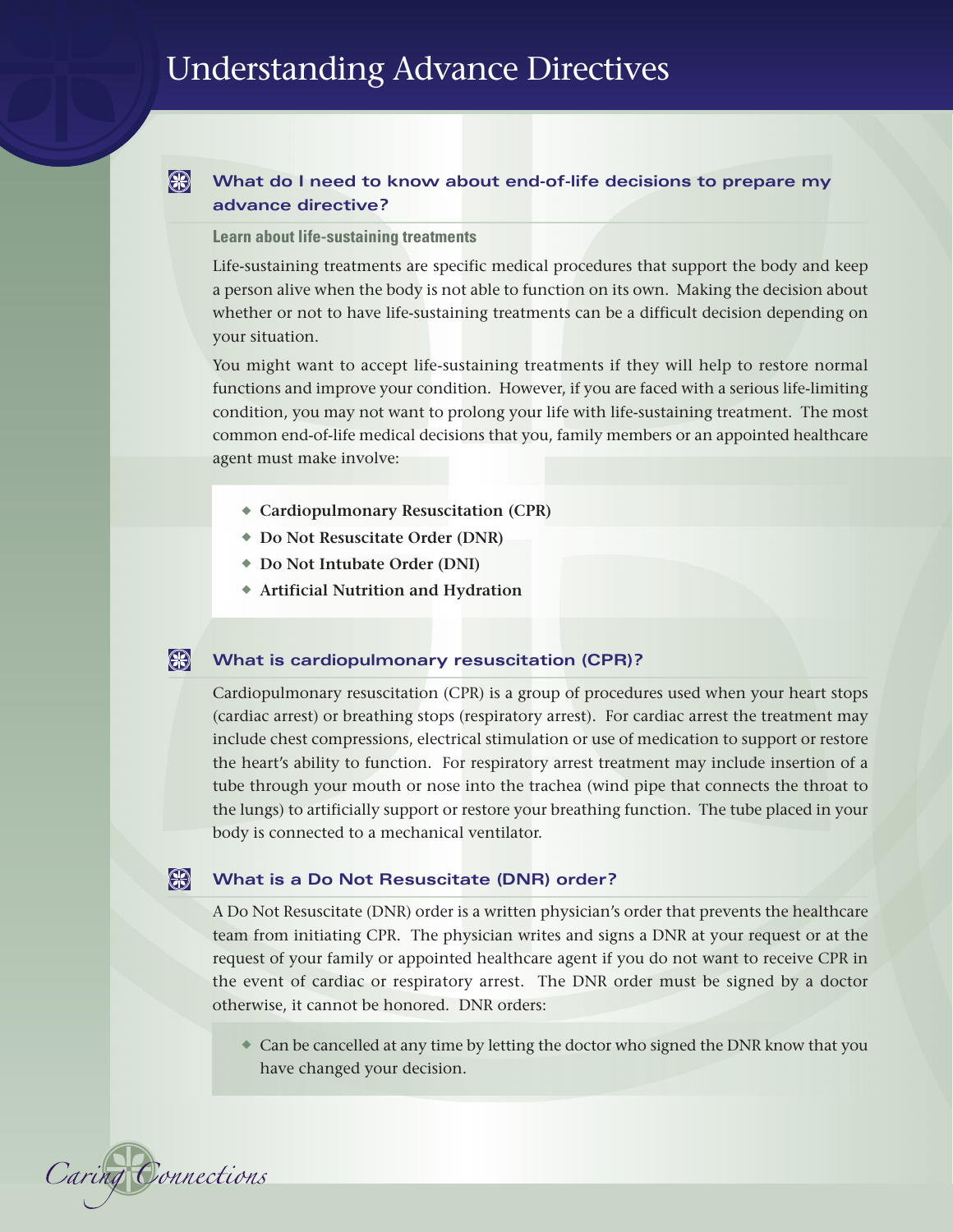# $\bigcirc$ **What do I need to know about end-of-life decisions to prepare my advance directive?**

# **Learn about life-sustaining treatments**

Life-sustaining treatments are specific medical procedures that support the body and keep a person alive when the body is not able to function on its own. Making the decision about whether or not to have life-sustaining treatments can be a difficult decision depending on your situation.

You might want to accept life-sustaining treatments if they will help to restore normal functions and improve your condition. However, if you are faced with a serious life-limiting condition, you may not want to prolong your life with life-sustaining treatment. The most common end-of-life medical decisions that you, family members or an appointed healthcare agent must make involve:

- **◆ Cardiopulmonary Resuscitation (CPR)**
- **◆ Do Not Resuscitate Order (DNR)**
- **◆ Do Not Intubate Order (DNI)**
- **◆ Artificial Nutrition and Hydration**

#### $\bigcirc$ **What is cardiopulmonary resuscitation (CPR)?**

Cardiopulmonary resuscitation (CPR) is a group of procedures used when your heart stops (cardiac arrest) or breathing stops (respiratory arrest). For cardiac arrest the treatment may include chest compressions, electrical stimulation or use of medication to support or restore the heart's ability to function. For respiratory arrest treatment may include insertion of a tube through your mouth or nose into the trachea (wind pipe that connects the throat to the lungs) to artificially support or restore your breathing function. The tube placed in your body is connected to a mechanical ventilator.

#### $\bigcirc$ **What is a Do Not Resuscitate (DNR) order?**

A Do Not Resuscitate (DNR) order is a written physician's order that prevents the healthcare team from initiating CPR. The physician writes and signs a DNR at your request or at the request of your family or appointed healthcare agent if you do not want to receive CPR in the event of cardiac or respiratory arrest. The DNR order must be signed by a doctor otherwise, it cannot be honored. DNR orders:

**◆** Can be cancelled at any time by letting the doctor who signed the DNR know that you have changed your decision.

Caring Connections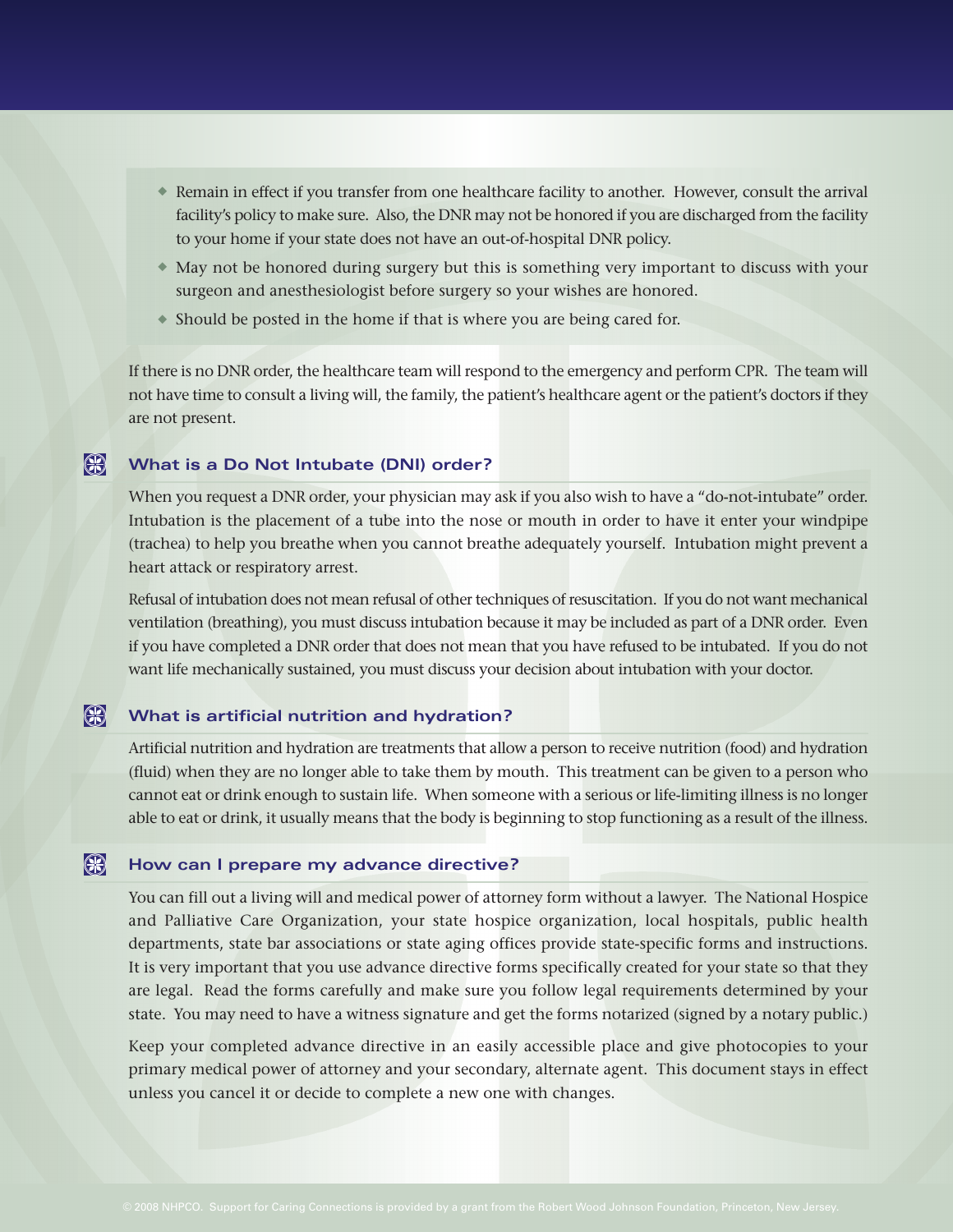- **◆** Remain in effect if you transfer from one healthcare facility to another. However, consult the arrival facility's policy to make sure. Also, the DNR may not be honored if you are discharged from the facility to your home if your state does not have an out-of-hospital DNR policy.
- **◆** May not be honored during surgery but this is something very important to discuss with your surgeon and anesthesiologist before surgery so your wishes are honored.
- **◆** Should be posted in the home if that is where you are being cared for.

If there is no DNR order, the healthcare team will respond to the emergency and perform CPR. The team will not have time to consult a living will, the family, the patient's healthcare agent or the patient's doctors if they are not present.

#### $\bigcirc$ **What is a Do Not Intubate (DNI) order?**

When you request a DNR order, your physician may ask if you also wish to have a "do-not-intubate" order. Intubation is the placement of a tube into the nose or mouth in order to have it enter your windpipe (trachea) to help you breathe when you cannot breathe adequately yourself. Intubation might prevent a heart attack or respiratory arrest.

Refusal of intubation does not mean refusal of other techniques of resuscitation. If you do not want mechanical ventilation (breathing), you must discuss intubation because it may be included as part of a DNR order. Even if you have completed a DNR order that does not mean that you have refused to be intubated. If you do not want life mechanically sustained, you must discuss your decision about intubation with your doctor.

#### $\bigcirc$ **What is artificial nutrition and hydration?**

Artificial nutrition and hydration are treatments that allow a person to receive nutrition (food) and hydration (fluid) when they are no longer able to take them by mouth. This treatment can be given to a person who cannot eat or drink enough to sustain life. When someone with a serious or life-limiting illness is no longer able to eat or drink, it usually means that the body is beginning to stop functioning as a result of the illness.

#### $\bigcirc$ **How can I prepare my advance directive?**

You can fill out a living will and medical power of attorney form without a lawyer. The National Hospice and Palliative Care Organization, your state hospice organization, local hospitals, public health departments, state bar associations or state aging offices provide state-specific forms and instructions. It is very important that you use advance directive forms specifically created for your state so that they are legal. Read the forms carefully and make sure you follow legal requirements determined by your state. You may need to have a witness signature and get the forms notarized (signed by a notary public.)

Keep your completed advance directive in an easily accessible place and give photocopies to your primary medical power of attorney and your secondary, alternate agent. This document stays in effect unless you cancel it or decide to complete a new one with changes.